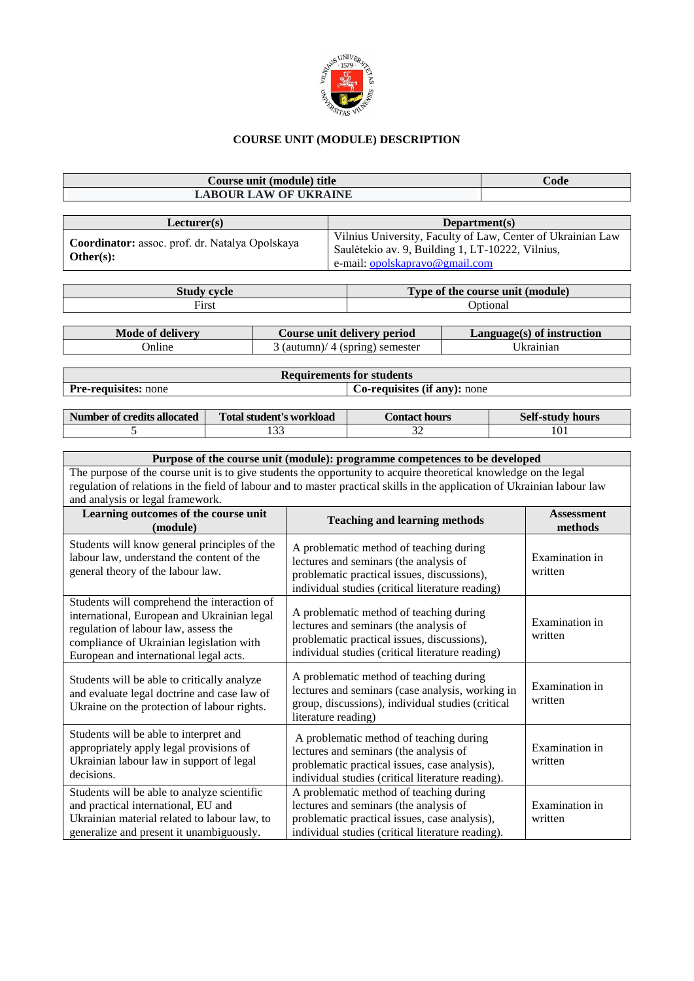

## **COURSE UNIT (MODULE) DESCRIPTION**

| Course unit (module) title   | $C$ ode |
|------------------------------|---------|
| <b>LABOUR LAW OF UKRAINE</b> |         |
|                              |         |

| Lecturer(s)                                                  | Department(s)                                                                                                                                     |
|--------------------------------------------------------------|---------------------------------------------------------------------------------------------------------------------------------------------------|
| Coordinator: assoc. prof. dr. Natalya Opolskaya<br>Other(s): | Vilnius University, Faculty of Law, Center of Ukrainian Law<br>Saulėtekio av. 9, Building 1, LT-10222, Vilnius,<br>e-mail: opolskapravo@gmail.com |

| $\alpha$<br>nun            | <b>Type of <math>\mathbf{L}</math></b><br>(module)<br>the course unit |
|----------------------------|-----------------------------------------------------------------------|
| $\mathbf{F}_{\text{irst}}$ | Jotiona                                                               |

| Mode of delivery | Course unit delivery period         | $Language(s)$ of instruction |
|------------------|-------------------------------------|------------------------------|
| <b>D</b> nline   | $3$ (autumn)/ $4$ (spring) semester | Ukrainian.                   |

| <b>Requirements for students</b> |                                     |  |  |  |
|----------------------------------|-------------------------------------|--|--|--|
| <b>Pre-requisites:</b> none      | <b>Co-requisites (if any):</b> none |  |  |  |
|                                  |                                     |  |  |  |

| <b>Number of credits allocated</b> | Fotal student's workload<br>Contact hours |         |     |
|------------------------------------|-------------------------------------------|---------|-----|
|                                    | $\sim$<br>1 J J                           | n,<br>◡ | 101 |

| Purpose of the course unit (module): programme competences to be developed                                               |
|--------------------------------------------------------------------------------------------------------------------------|
| The purpose of the course unit is to give students the opportunity to acquire theoretical knowledge on the legal         |
| regulation of relations in the field of labour and to master practical skills in the application of Ukrainian labour law |
| and analysis or legal framework.                                                                                         |

| Learning outcomes of the course unit<br>(module)                                                                                                                                                                         | <b>Teaching and learning methods</b>                                                                                                                                                    | <b>Assessment</b><br>methods |
|--------------------------------------------------------------------------------------------------------------------------------------------------------------------------------------------------------------------------|-----------------------------------------------------------------------------------------------------------------------------------------------------------------------------------------|------------------------------|
| Students will know general principles of the<br>labour law, understand the content of the<br>general theory of the labour law.                                                                                           | A problematic method of teaching during<br>lectures and seminars (the analysis of<br>problematic practical issues, discussions),<br>individual studies (critical literature reading)    | Examination in<br>written    |
| Students will comprehend the interaction of<br>international, European and Ukrainian legal<br>regulation of labour law, assess the<br>compliance of Ukrainian legislation with<br>European and international legal acts. | A problematic method of teaching during<br>lectures and seminars (the analysis of<br>problematic practical issues, discussions),<br>individual studies (critical literature reading)    | Examination in<br>written    |
| Students will be able to critically analyze<br>and evaluate legal doctrine and case law of<br>Ukraine on the protection of labour rights.                                                                                | A problematic method of teaching during<br>lectures and seminars (case analysis, working in<br>group, discussions), individual studies (critical<br>literature reading)                 | Examination in<br>written    |
| Students will be able to interpret and<br>appropriately apply legal provisions of<br>Ukrainian labour law in support of legal<br>decisions.                                                                              | A problematic method of teaching during<br>lectures and seminars (the analysis of<br>problematic practical issues, case analysis),<br>individual studies (critical literature reading). | Examination in<br>written    |
| Students will be able to analyze scientific<br>and practical international, EU and<br>Ukrainian material related to labour law, to<br>generalize and present it unambiguously.                                           | A problematic method of teaching during<br>lectures and seminars (the analysis of<br>problematic practical issues, case analysis),<br>individual studies (critical literature reading). | Examination in<br>written    |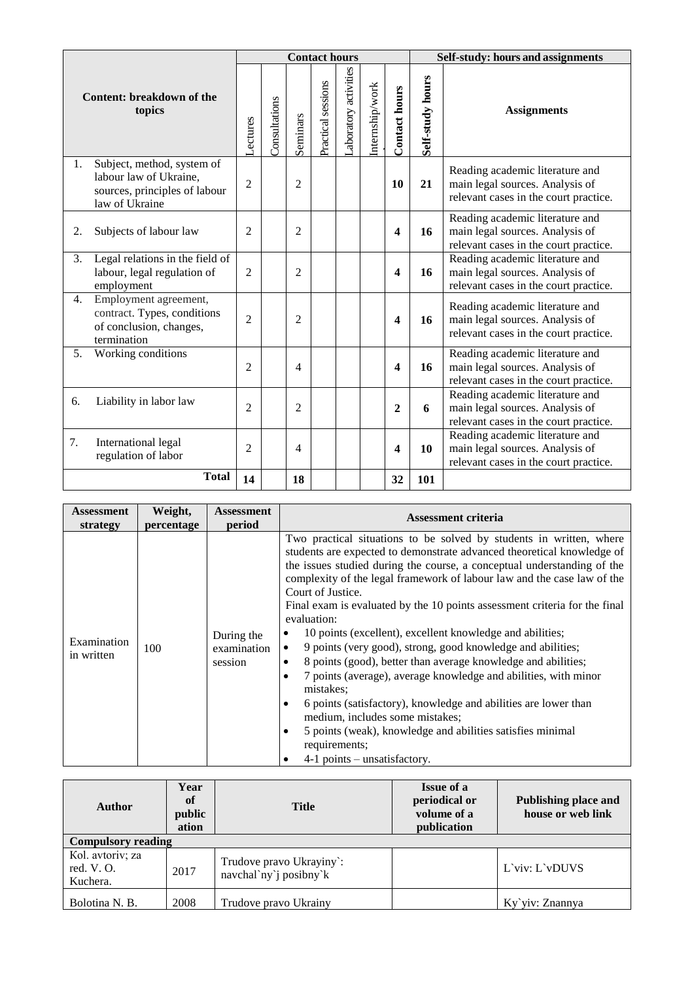|                                     |                                                                                                         | <b>Contact hours</b> |               |                |                    |                      |                 |                      | Self-study: hours and assignments |                                                                                                             |  |
|-------------------------------------|---------------------------------------------------------------------------------------------------------|----------------------|---------------|----------------|--------------------|----------------------|-----------------|----------------------|-----------------------------------|-------------------------------------------------------------------------------------------------------------|--|
| Content: breakdown of the<br>topics |                                                                                                         | <b>ectures</b>       | Consultations | Seminars       | Practical sessions | aboratory activities | Internship/work | <b>Contact hours</b> | Self-study hours                  | <b>Assignments</b>                                                                                          |  |
| 1.                                  | Subject, method, system of<br>labour law of Ukraine,<br>sources, principles of labour<br>law of Ukraine | $\overline{2}$       |               | $\overline{2}$ |                    |                      |                 | 10                   | 21                                | Reading academic literature and<br>main legal sources. Analysis of<br>relevant cases in the court practice. |  |
| 2.                                  | Subjects of labour law                                                                                  | $\overline{2}$       |               | $\overline{2}$ |                    |                      |                 | 4                    | 16                                | Reading academic literature and<br>main legal sources. Analysis of<br>relevant cases in the court practice. |  |
| 3.                                  | Legal relations in the field of<br>labour, legal regulation of<br>employment                            | $\overline{2}$       |               | $\overline{2}$ |                    |                      |                 | 4                    | 16                                | Reading academic literature and<br>main legal sources. Analysis of<br>relevant cases in the court practice. |  |
| 4.                                  | Employment agreement,<br>contract. Types, conditions<br>of conclusion, changes,<br>termination          | $\overline{2}$       |               | $\overline{2}$ |                    |                      |                 | 4                    | 16                                | Reading academic literature and<br>main legal sources. Analysis of<br>relevant cases in the court practice. |  |
| 5.                                  | Working conditions                                                                                      | $\overline{c}$       |               | 4              |                    |                      |                 | 4                    | 16                                | Reading academic literature and<br>main legal sources. Analysis of<br>relevant cases in the court practice. |  |
| 6.                                  | Liability in labor law                                                                                  | $\overline{c}$       |               | $\overline{2}$ |                    |                      |                 | $\overline{2}$       | 6                                 | Reading academic literature and<br>main legal sources. Analysis of<br>relevant cases in the court practice. |  |
| 7.                                  | International legal<br>regulation of labor                                                              | $\overline{2}$       |               | 4              |                    |                      |                 | 4                    | 10                                | Reading academic literature and<br>main legal sources. Analysis of<br>relevant cases in the court practice. |  |
|                                     | <b>Total</b>                                                                                            | 14                   |               | 18             |                    |                      |                 | 32                   | 101                               |                                                                                                             |  |

| <b>Assessment</b>         | Weight,    | <b>Assessment</b>                    | <b>Assessment criteria</b>                                                                                                                                                                                                                                                                                                                                                                                                                                                                                                                                                                                                                                                                                                                                                                                                                                                                                                                                                    |
|---------------------------|------------|--------------------------------------|-------------------------------------------------------------------------------------------------------------------------------------------------------------------------------------------------------------------------------------------------------------------------------------------------------------------------------------------------------------------------------------------------------------------------------------------------------------------------------------------------------------------------------------------------------------------------------------------------------------------------------------------------------------------------------------------------------------------------------------------------------------------------------------------------------------------------------------------------------------------------------------------------------------------------------------------------------------------------------|
| strategy                  | percentage | period                               |                                                                                                                                                                                                                                                                                                                                                                                                                                                                                                                                                                                                                                                                                                                                                                                                                                                                                                                                                                               |
| Examination<br>in written | 100        | During the<br>examination<br>session | Two practical situations to be solved by students in written, where<br>students are expected to demonstrate advanced theoretical knowledge of<br>the issues studied during the course, a conceptual understanding of the<br>complexity of the legal framework of labour law and the case law of the<br>Court of Justice.<br>Final exam is evaluated by the 10 points assessment criteria for the final<br>evaluation:<br>10 points (excellent), excellent knowledge and abilities;<br>٠<br>9 points (very good), strong, good knowledge and abilities;<br>$\bullet$<br>8 points (good), better than average knowledge and abilities;<br>٠<br>7 points (average), average knowledge and abilities, with minor<br>$\bullet$<br>mistakes:<br>6 points (satisfactory), knowledge and abilities are lower than<br>$\bullet$<br>medium, includes some mistakes;<br>5 points (weak), knowledge and abilities satisfies minimal<br>٠<br>requirements;<br>4-1 points – unsatisfactory. |

| <b>Author</b>                                | Year<br>of<br>public<br>ation | <b>Title</b>                                        | <b>Issue of a</b><br>periodical or<br>volume of a<br>publication | Publishing place and<br>house or web link |
|----------------------------------------------|-------------------------------|-----------------------------------------------------|------------------------------------------------------------------|-------------------------------------------|
| <b>Compulsory reading</b>                    |                               |                                                     |                                                                  |                                           |
| Kol. avtoriv; za<br>red. $V. O.$<br>Kuchera. | 2017                          | Trudove pravo Ukrayiny:<br>navchal'ny' j posibny' k |                                                                  | L'viv: L'vDUVS                            |
| Bolotina N. B.                               | 2008                          | Trudove pravo Ukrainy                               |                                                                  | Ky`yiv: Znannya                           |